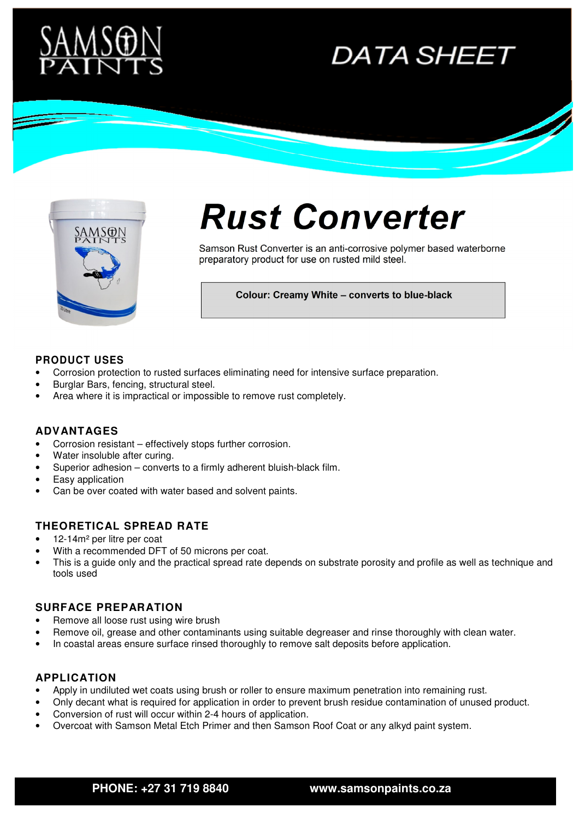

# **DATA SHEET**



# **Rust Converter**

Samson Rust Converter is an anti-corrosive polymer based waterborne preparatory product for use on rusted mild steel.

**Colour: Creamy White – converts to blue-black** 

#### **PRODUCT USES**

- Corrosion protection to rusted surfaces eliminating need for intensive surface preparation.
- Burglar Bars, fencing, structural steel.
- Area where it is impractical or impossible to remove rust completely.

#### **ADVANTAGES**

- Corrosion resistant effectively stops further corrosion.
- Water insoluble after curing.
- Superior adhesion converts to a firmly adherent bluish-black film.
- Easy application
- Can be over coated with water based and solvent paints.

#### **THEORETICAL SPREAD RATE**

- 12-14m² per litre per coat
- With a recommended DFT of 50 microns per coat.
- This is a quide only and the practical spread rate depends on substrate porosity and profile as well as technique and tools used

#### **SURFACE PREPARATION**

- Remove all loose rust using wire brush
- Remove oil, grease and other contaminants using suitable degreaser and rinse thoroughly with clean water.
- In coastal areas ensure surface rinsed thoroughly to remove salt deposits before application.

### **APPLICATION**

- Apply in undiluted wet coats using brush or roller to ensure maximum penetration into remaining rust.
- Only decant what is required for application in order to prevent brush residue contamination of unused product.
- Conversion of rust will occur within 2-4 hours of application.
- Overcoat with Samson Metal Etch Primer and then Samson Roof Coat or any alkyd paint system.